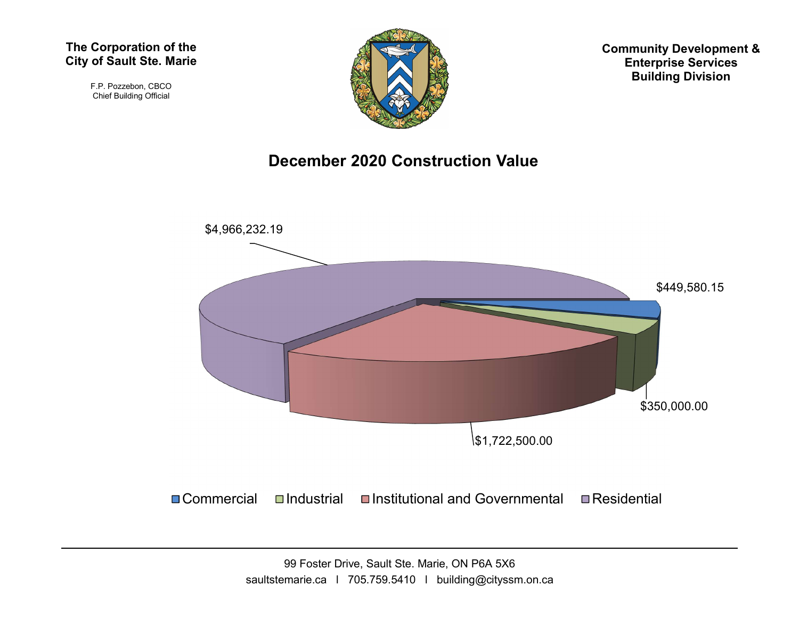#### The Corporation of the City of Sault Ste. Marie

F.P. Pozzebon, CBCO Chief Building Official



Community Development & Enterprise Services Building Division

#### December 2020 Construction Value



99 Foster Drive, Sault Ste. Marie, ON P6A 5X6 saultstemarie.ca | 705.759.5410 | building@cityssm.on.ca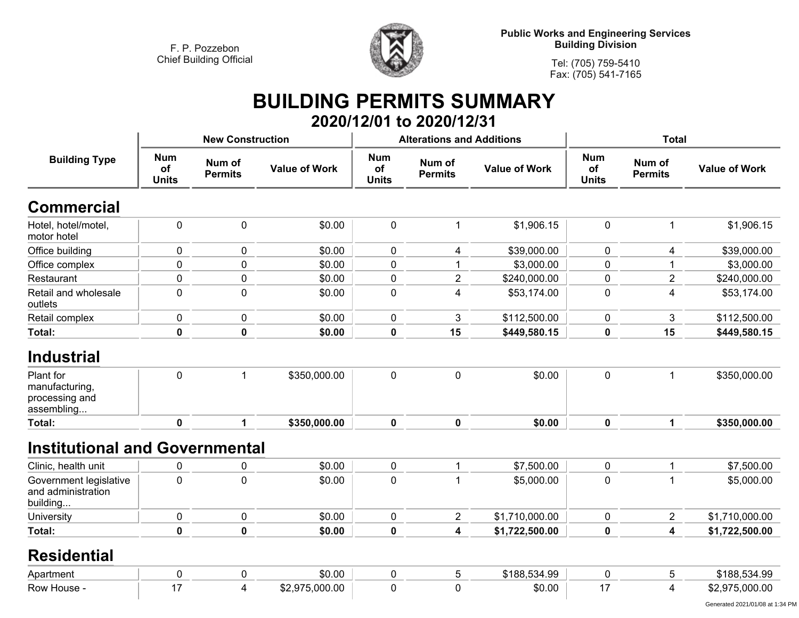

**Public Works and Engineering Services Building Division**

**Tel: (705) 759-5410 Fax: (705) 541-7165**

# **BUILDING PERMITS SUMMARY**

|                                                             |                                  |                          |                      |                                  | 2020/12/01 to 2020/12/31         |                      |                                  |                          |                      |
|-------------------------------------------------------------|----------------------------------|--------------------------|----------------------|----------------------------------|----------------------------------|----------------------|----------------------------------|--------------------------|----------------------|
|                                                             |                                  | <b>New Construction</b>  |                      |                                  | <b>Alterations and Additions</b> |                      | <b>Total</b>                     |                          |                      |
| <b>Building Type</b>                                        | <b>Num</b><br>of<br><b>Units</b> | Num of<br><b>Permits</b> | <b>Value of Work</b> | <b>Num</b><br>of<br><b>Units</b> | Num of<br><b>Permits</b>         | <b>Value of Work</b> | <b>Num</b><br>of<br><b>Units</b> | Num of<br><b>Permits</b> | <b>Value of Work</b> |
| <b>Commercial</b>                                           |                                  |                          |                      |                                  |                                  |                      |                                  |                          |                      |
| Hotel, hotel/motel,<br>motor hotel                          | 0                                | $\mathbf 0$              | \$0.00               | $\pmb{0}$                        | 1                                | \$1,906.15           | $\pmb{0}$                        | $\mathbf 1$              | \$1,906.15           |
| Office building                                             | 0                                | $\mathbf 0$              | \$0.00               | $\pmb{0}$                        | 4                                | \$39,000.00          | 0                                | 4                        | \$39,000.00          |
| Office complex                                              | 0                                | $\mathbf 0$              | \$0.00               | $\pmb{0}$                        | 1                                | \$3,000.00           | 0                                | 1                        | \$3,000.00           |
| Restaurant                                                  | 0                                | 0                        | \$0.00               | 0                                | $\overline{2}$                   | \$240,000.00         | 0                                | $\overline{c}$           | \$240,000.00         |
| Retail and wholesale<br>outlets                             | 0                                | $\mathbf 0$              | \$0.00               | $\mathbf 0$                      | 4                                | \$53,174.00          | 0                                | 4                        | \$53,174.00          |
| Retail complex                                              | 0                                | $\mathbf 0$              | \$0.00               | $\pmb{0}$                        | 3                                | \$112,500.00         | $\mathbf 0$                      | 3                        | \$112,500.00         |
| Total:                                                      | $\pmb{0}$                        | $\mathbf 0$              | \$0.00               | $\pmb{0}$                        | 15                               | \$449,580.15         | 0                                | 15                       | \$449,580.15         |
| <b>Industrial</b>                                           |                                  |                          |                      |                                  |                                  |                      |                                  |                          |                      |
| Plant for<br>manufacturing,<br>processing and<br>assembling | $\pmb{0}$                        | $\mathbf{1}$             | \$350,000.00         | $\mathbf 0$                      | $\mathbf 0$                      | \$0.00               | $\mathbf 0$                      | 1                        | \$350,000.00         |
| <b>Total:</b>                                               | $\mathbf 0$                      | 1                        | \$350,000.00         | $\mathbf 0$                      | $\mathbf 0$                      | \$0.00               | $\mathbf 0$                      | $\mathbf 1$              | \$350,000.00         |
| <b>Institutional and Governmental</b>                       |                                  |                          |                      |                                  |                                  |                      |                                  |                          |                      |
| Clinic, health unit                                         | 0                                | $\mathbf 0$              | \$0.00               | $\pmb{0}$                        | 1                                | \$7,500.00           | $\mathbf 0$                      | 1                        | \$7,500.00           |
| Government legislative<br>and administration<br>building    | $\mathbf 0$                      | $\overline{0}$           | \$0.00               | $\mathbf 0$                      |                                  | \$5,000.00           | 0                                | 1                        | \$5,000.00           |
| University                                                  | 0                                | $\boldsymbol{0}$         | \$0.00               | $\pmb{0}$                        | $\overline{c}$                   | \$1,710,000.00       | 0                                | $\overline{a}$           | \$1,710,000.00       |
| Total:                                                      | 0                                | $\mathbf 0$              | \$0.00               | $\mathbf 0$                      | $\overline{\mathbf{4}}$          | \$1,722,500.00       | 0                                | 4                        | \$1,722,500.00       |
| <b>Residential</b>                                          |                                  |                          |                      |                                  |                                  |                      |                                  |                          |                      |
| Apartment                                                   | 0                                | $\mathbf 0$              | \$0.00               | $\pmb{0}$                        | 5                                | \$188,534.99         | $\mathbf 0$                      | 5                        | \$188,534.99         |
| Row House -                                                 | 17                               | 4                        | \$2,975,000.00       | $\mathbf 0$                      | $\mathbf 0$                      | \$0.00               | 17                               | 4                        | \$2,975,000.00       |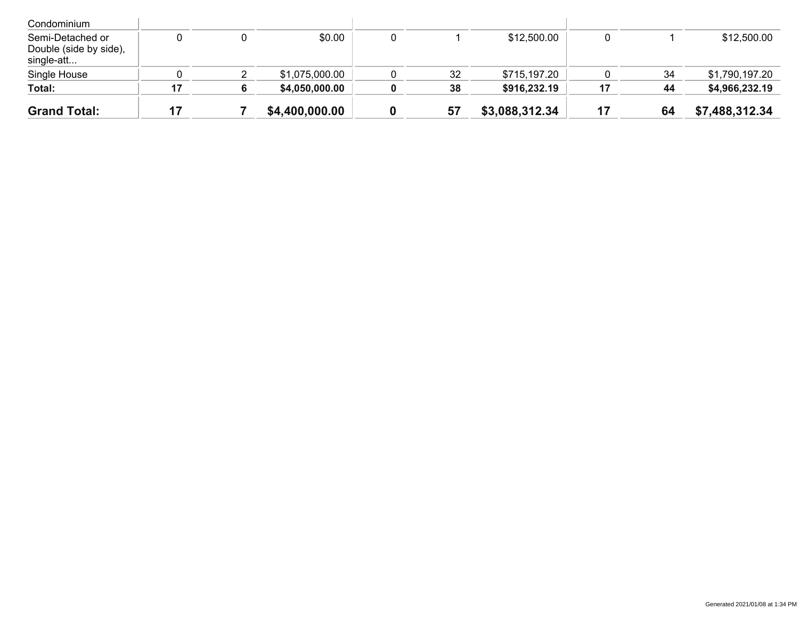| <b>Grand Total:</b>                                      |    | \$4,400,000.00 | 57 | \$3,088,312.34 |    | 64 | \$7,488,312.34 |
|----------------------------------------------------------|----|----------------|----|----------------|----|----|----------------|
| Total:                                                   | 17 | \$4,050,000.00 | 38 | \$916,232.19   | 17 | 44 | \$4,966,232.19 |
| Single House                                             |    | \$1,075,000.00 | 32 | \$715,197.20   |    | 34 | \$1,790,197.20 |
| Semi-Detached or<br>Double (side by side),<br>single-att |    | \$0.00         |    | \$12,500.00    |    |    | \$12,500.00    |
| Condominium                                              |    |                |    |                |    |    |                |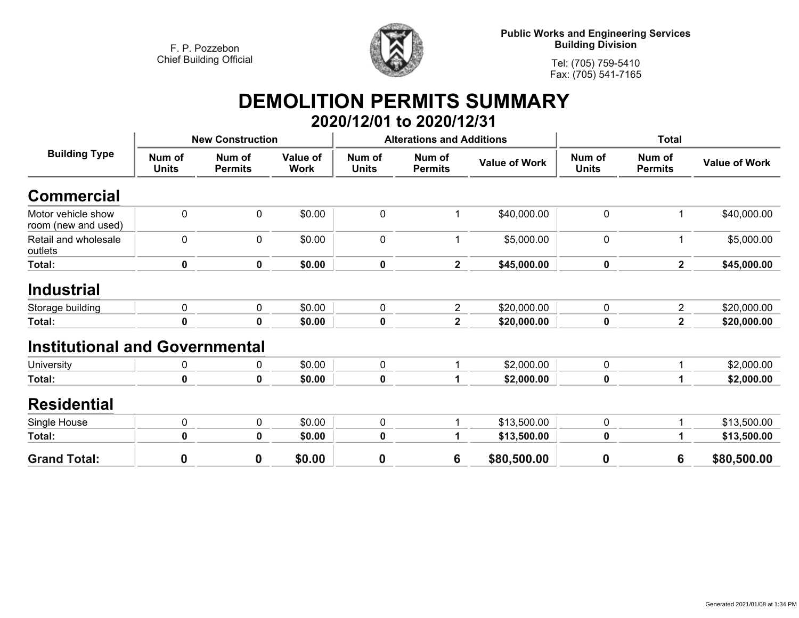

**Public Works and Engineering Services Building Division**

**Tel: (705) 759-5410 Fax: (705) 541-7165**

# **DEMOLITION PERMITS SUMMARY**

|                                           |                         |                          |                         |                        | 2020/12/01 to 2020/12/31         |                      |                        |                          |                      |
|-------------------------------------------|-------------------------|--------------------------|-------------------------|------------------------|----------------------------------|----------------------|------------------------|--------------------------|----------------------|
|                                           | <b>New Construction</b> |                          |                         |                        | <b>Alterations and Additions</b> |                      | <b>Total</b>           |                          |                      |
| <b>Building Type</b>                      | Num of<br><b>Units</b>  | Num of<br><b>Permits</b> | Value of<br><b>Work</b> | Num of<br><b>Units</b> | Num of<br><b>Permits</b>         | <b>Value of Work</b> | Num of<br><b>Units</b> | Num of<br><b>Permits</b> | <b>Value of Work</b> |
| <b>Commercial</b>                         |                         |                          |                         |                        |                                  |                      |                        |                          |                      |
| Motor vehicle show<br>room (new and used) | $\mathbf 0$             | 0                        | \$0.00                  | $\mathbf 0$            |                                  | \$40,000.00          | $\mathbf 0$            |                          | \$40,000.00          |
| Retail and wholesale<br>outlets           | $\mathbf 0$             | 0                        | \$0.00                  | $\mathbf 0$            |                                  | \$5,000.00           | $\mathbf 0$            |                          | \$5,000.00           |
| Total:                                    | 0                       | 0                        | \$0.00                  | 0                      | $\mathbf{2}$                     | \$45,000.00          | $\mathbf 0$            | $\mathbf{2}$             | \$45,000.00          |
| <b>Industrial</b>                         |                         |                          |                         |                        |                                  |                      |                        |                          |                      |
| Storage building                          | $\mathbf 0$             | 0                        | \$0.00                  | $\pmb{0}$              | $\overline{2}$                   | \$20,000.00          | $\mathbf 0$            | $\overline{2}$           | \$20,000.00          |
| Total:                                    | 0                       | 0                        | \$0.00                  | 0                      | $\mathbf{2}$                     | \$20,000.00          | 0                      | 2                        | \$20,000.00          |
| <b>Institutional and Governmental</b>     |                         |                          |                         |                        |                                  |                      |                        |                          |                      |
| University                                | 0                       | 0                        | \$0.00                  | 0                      | 1                                | \$2,000.00           | 0                      |                          | \$2,000.00           |
| Total:                                    | 0                       | 0                        | \$0.00                  | 0                      |                                  | \$2,000.00           | $\pmb{0}$              |                          | \$2,000.00           |
| <b>Residential</b>                        |                         |                          |                         |                        |                                  |                      |                        |                          |                      |
| Single House                              | $\mathbf 0$             | 0                        | \$0.00                  | $\pmb{0}$              |                                  | \$13,500.00          | $\mathbf 0$            |                          | \$13,500.00          |
| Total:                                    | 0                       | 0                        | \$0.00                  | 0                      |                                  | \$13,500.00          | $\bf{0}$               |                          | \$13,500.00          |
| <b>Grand Total:</b>                       | 0                       | 0                        | \$0.00                  | $\boldsymbol{0}$       | 6                                | \$80,500.00          | 0                      | 6                        | \$80,500.00          |